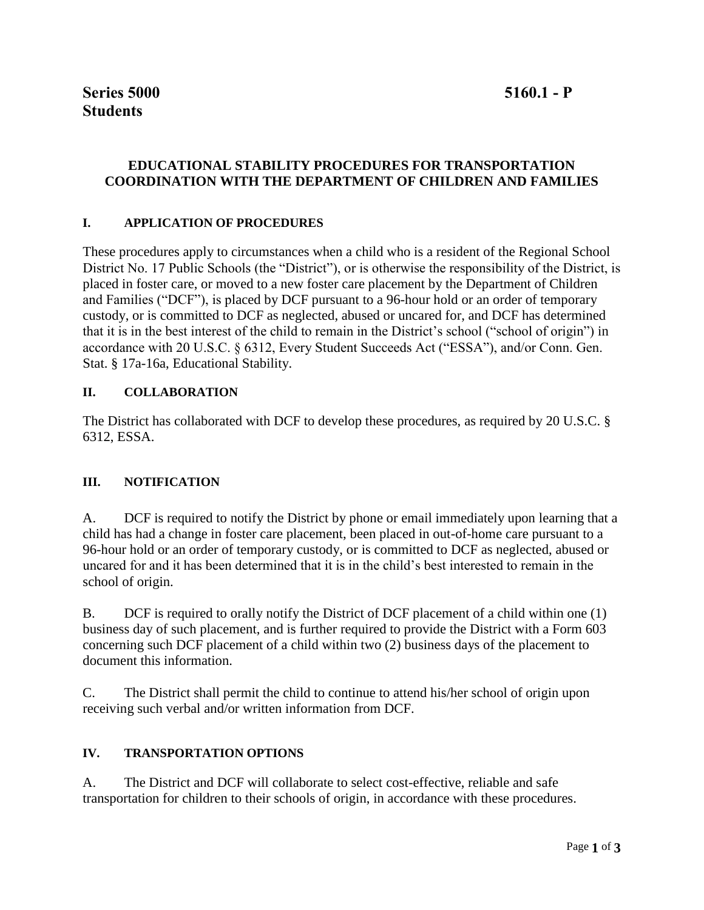# **EDUCATIONAL STABILITY PROCEDURES FOR TRANSPORTATION COORDINATION WITH THE DEPARTMENT OF CHILDREN AND FAMILIES**

#### **I. APPLICATION OF PROCEDURES**

These procedures apply to circumstances when a child who is a resident of the Regional School District No. 17 Public Schools (the "District"), or is otherwise the responsibility of the District, is placed in foster care, or moved to a new foster care placement by the Department of Children and Families ("DCF"), is placed by DCF pursuant to a 96-hour hold or an order of temporary custody, or is committed to DCF as neglected, abused or uncared for, and DCF has determined that it is in the best interest of the child to remain in the District's school ("school of origin") in accordance with 20 U.S.C. § 6312, Every Student Succeeds Act ("ESSA"), and/or Conn. Gen. Stat. § 17a-16a, Educational Stability.

### **II. COLLABORATION**

The District has collaborated with DCF to develop these procedures, as required by 20 U.S.C. § 6312, ESSA.

#### **III. NOTIFICATION**

A. DCF is required to notify the District by phone or email immediately upon learning that a child has had a change in foster care placement, been placed in out-of-home care pursuant to a 96-hour hold or an order of temporary custody, or is committed to DCF as neglected, abused or uncared for and it has been determined that it is in the child's best interested to remain in the school of origin.

B. DCF is required to orally notify the District of DCF placement of a child within one (1) business day of such placement, and is further required to provide the District with a Form 603 concerning such DCF placement of a child within two (2) business days of the placement to document this information.

C. The District shall permit the child to continue to attend his/her school of origin upon receiving such verbal and/or written information from DCF.

#### **IV. TRANSPORTATION OPTIONS**

A. The District and DCF will collaborate to select cost-effective, reliable and safe transportation for children to their schools of origin, in accordance with these procedures.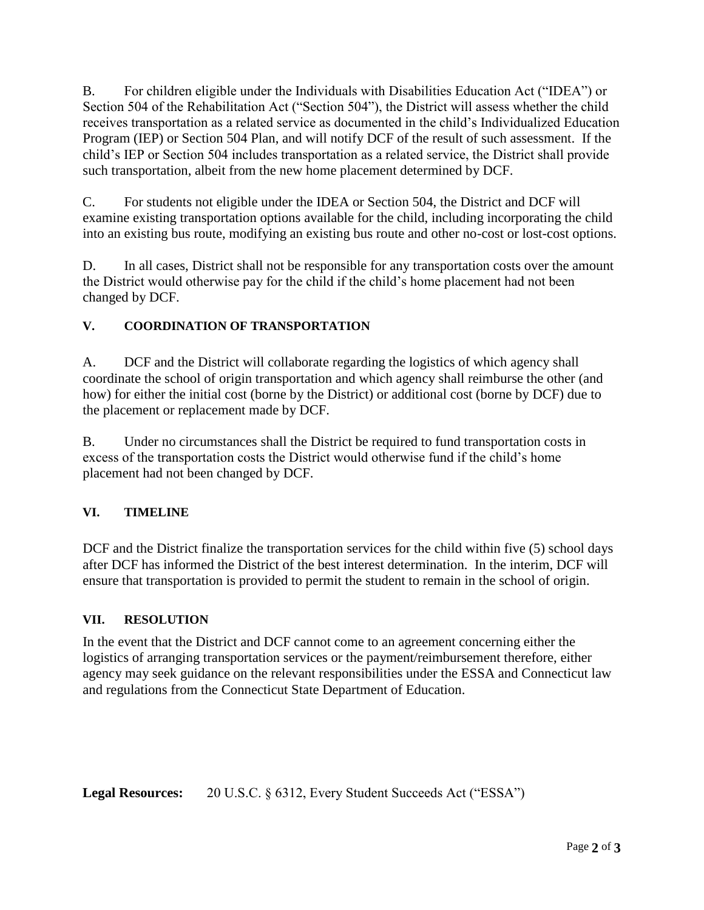B. For children eligible under the Individuals with Disabilities Education Act ("IDEA") or Section 504 of the Rehabilitation Act ("Section 504"), the District will assess whether the child receives transportation as a related service as documented in the child's Individualized Education Program (IEP) or Section 504 Plan, and will notify DCF of the result of such assessment. If the child's IEP or Section 504 includes transportation as a related service, the District shall provide such transportation, albeit from the new home placement determined by DCF.

C. For students not eligible under the IDEA or Section 504, the District and DCF will examine existing transportation options available for the child, including incorporating the child into an existing bus route, modifying an existing bus route and other no-cost or lost-cost options.

D. In all cases, District shall not be responsible for any transportation costs over the amount the District would otherwise pay for the child if the child's home placement had not been changed by DCF.

# **V. COORDINATION OF TRANSPORTATION**

A. DCF and the District will collaborate regarding the logistics of which agency shall coordinate the school of origin transportation and which agency shall reimburse the other (and how) for either the initial cost (borne by the District) or additional cost (borne by DCF) due to the placement or replacement made by DCF.

B. Under no circumstances shall the District be required to fund transportation costs in excess of the transportation costs the District would otherwise fund if the child's home placement had not been changed by DCF.

## **VI. TIMELINE**

DCF and the District finalize the transportation services for the child within five (5) school days after DCF has informed the District of the best interest determination. In the interim, DCF will ensure that transportation is provided to permit the student to remain in the school of origin.

## **VII. RESOLUTION**

In the event that the District and DCF cannot come to an agreement concerning either the logistics of arranging transportation services or the payment/reimbursement therefore, either agency may seek guidance on the relevant responsibilities under the ESSA and Connecticut law and regulations from the Connecticut State Department of Education.

**Legal Resources:** 20 U.S.C. § 6312, Every Student Succeeds Act ("ESSA")